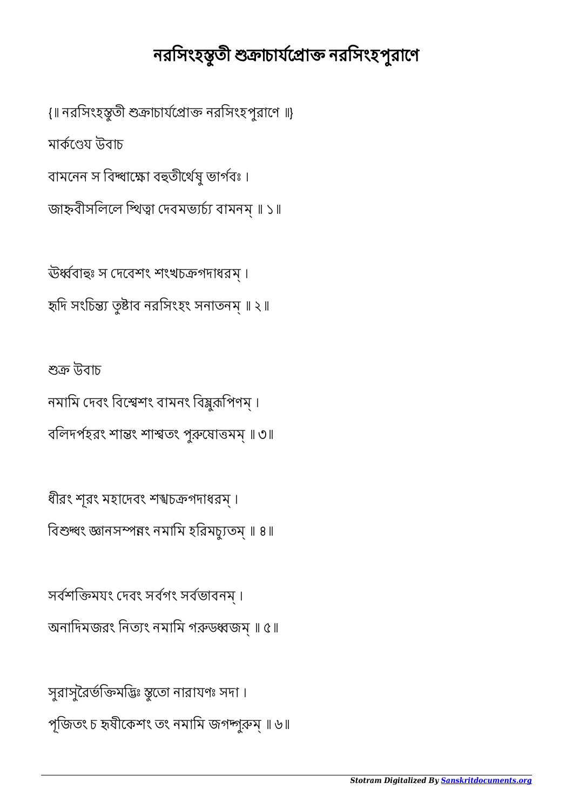## নরসিংহস্তুতী শুক্রাচার্যপ্রোক্ত নরসিংহপুরাণে

{॥ নরসিংহস্তৃতী শুক্রাচার্যপ্রোক্ত নরসিংহপুরাণে ॥} মাৰ্কণেয় উবাচ বামনেন স বিদ্ধাক্ষো বহুতীৰ্থেষু ভাৰ্গবঃ। জাহ্নবীসলিলে প্থিত্বা দেবমভ্যৰ্চ্য বামনম্ ॥ ১॥

ঊর্ধ্ববাহুঃ স দেবেশং শংখচক্রগদাধরম্। হৃদি সংচিন্ত্য তুষ্টাব নরসিংহং সনাতনম্ ॥ ২॥

শুক্ৰ উবাচ নমামি দেবং বিশ্বেশং বামনং বিষ্কুক়পিণম্। বলিদর্পহরং শান্তং শাশ্বতং পুরুষোত্তমম্ ॥ ৩॥

ধীরং শূরং মহাদেবং শশ্বচক্রগদাধরম্ । বিশুদ্ধং জ্ঞানসম্পন্নং নমামি হরিমচ্যুতম্ ॥ ৪॥

সবশিমযং দবং সবগং সবভাবনম্ । অনাদিমজরং নিত্যং নমামি গরুডধ্বজম্ ॥ ৫॥

সুরাসুরৈর্ভক্তিমদ্ভিঃ স্তুতো নারাযণঃ সদা। পূজিতং চ হৃষীকেশং তং নমামি জগদ্দাুরুম্ ॥ ৬॥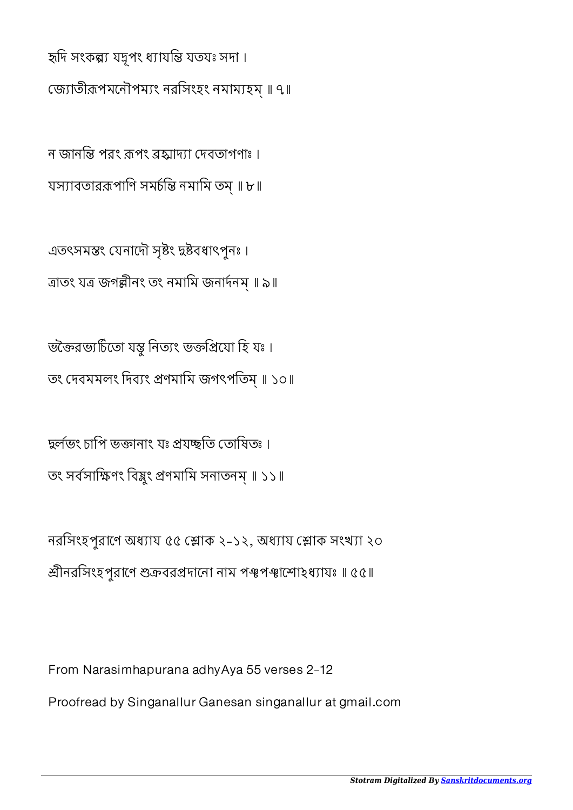হৃদি সংকল্প্য যদুপং ধ্যাযন্তি যতযঃ সদা।

জাতীপমেনৗপমং নরিসংহং নমামহম্ ॥ ৭॥

ন জানন্তি পরং রূপং ব্রহ্মাদ্যা দেবতাগণাঃ । যস্যাবতাররূপাণি সম্মন্তি নমামি তম্ ॥ ৮॥

এতৎসমস্তং যেনাদৌ সৃষ্টং দ্বষ্টবধাৎপুনঃ। ত্ৰাতং যত্ৰ জগল্লীনং তং নমামি জনাৰ্দনম্ ॥ ৯॥

ভক্তৈরভ্যচিতো যস্ত্ব নিত্যং ভক্তপ্রিযো হি যঃ । তং দেবমমলং দিব্যং প্ৰণমামি জগৎপতিম্ ॥ ১০॥

দ্বৰ্লভং চাপি ভক্তানাং যঃ প্ৰযচ্ছতি তোষিতঃ । তং সৰ্বসাক্ষিণং বিষ্ণুং প্ৰণমামি সনাতনম্ ॥ ১১॥

নরসিংহপুরাণে অধ্যায ৫৫ শ্লোক ২-১২, অধ্যায শ্লোক সংখ্যা ২০ শ্রীনরসিংহপুরাণে শুক্রবরপ্রদানাে নাম পঞ্চপঞ্চাম্পােহধ্যাযঃ ॥ ৫৫॥

From Narasimhapurana adhyAya 55 verses 2-12

Proofread by Singanallur Ganesan singanallur at gmail.com